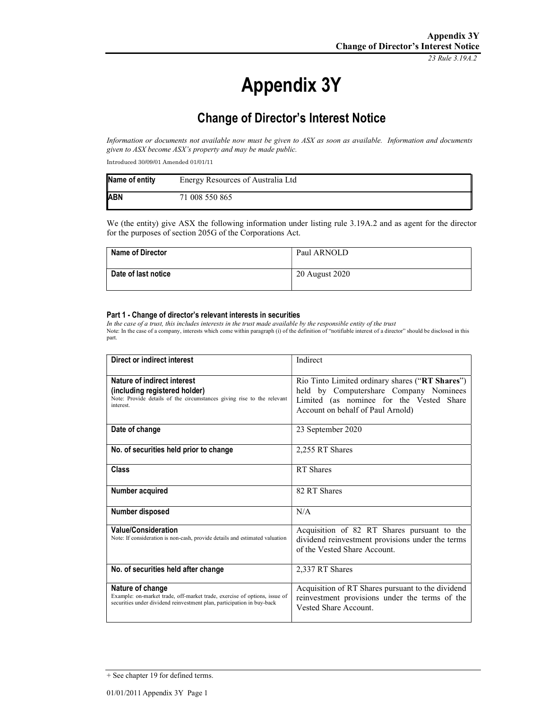23 Rule 3.19A.2

# Appendix 3Y

# Change of Director's Interest Notice

Information or documents not available now must be given to ASX as soon as available. Information and documents given to ASX become ASX's property and may be made public.

Introduced 30/09/01 Amended 01/01/11

| Name of entity | Energy Resources of Australia Ltd |
|----------------|-----------------------------------|
| <b>ABN</b>     | 71 008 550 865                    |

We (the entity) give ASX the following information under listing rule 3.19A.2 and as agent for the director for the purposes of section 205G of the Corporations Act.

| <b>Name of Director</b> | Paul ARNOLD    |
|-------------------------|----------------|
| Date of last notice     | 20 August 2020 |

#### Part 1 - Change of director's relevant interests in securities

In the case of a trust, this includes interests in the trust made available by the responsible entity of the trust Note: In the case of a company, interests which come within paragraph (i) of the definition of "notifiable interest of a director" should be disclosed in this part.

| Direct or indirect interest                                                                                                                                             | Indirect                                                                                                                                                                   |
|-------------------------------------------------------------------------------------------------------------------------------------------------------------------------|----------------------------------------------------------------------------------------------------------------------------------------------------------------------------|
| Nature of indirect interest<br>(including registered holder)<br>Note: Provide details of the circumstances giving rise to the relevant<br>interest.                     | Rio Tinto Limited ordinary shares ("RT Shares")<br>held by Computershare Company Nominees<br>Limited (as nominee for the Vested Share<br>Account on behalf of Paul Arnold) |
| Date of change                                                                                                                                                          | 23 September 2020                                                                                                                                                          |
| No. of securities held prior to change                                                                                                                                  | 2,255 RT Shares                                                                                                                                                            |
| Class                                                                                                                                                                   | RT Shares                                                                                                                                                                  |
| Number acquired                                                                                                                                                         | 82 RT Shares                                                                                                                                                               |
| Number disposed                                                                                                                                                         | N/A                                                                                                                                                                        |
| <b>Value/Consideration</b><br>Note: If consideration is non-cash, provide details and estimated valuation                                                               | Acquisition of 82 RT Shares pursuant to the<br>dividend reinvestment provisions under the terms<br>of the Vested Share Account.                                            |
| No. of securities held after change                                                                                                                                     | 2,337 RT Shares                                                                                                                                                            |
| Nature of change<br>Example: on-market trade, off-market trade, exercise of options, issue of<br>securities under dividend reinvestment plan, participation in buy-back | Acquisition of RT Shares pursuant to the dividend<br>reinvestment provisions under the terms of the<br>Vested Share Account.                                               |

<sup>+</sup> See chapter 19 for defined terms.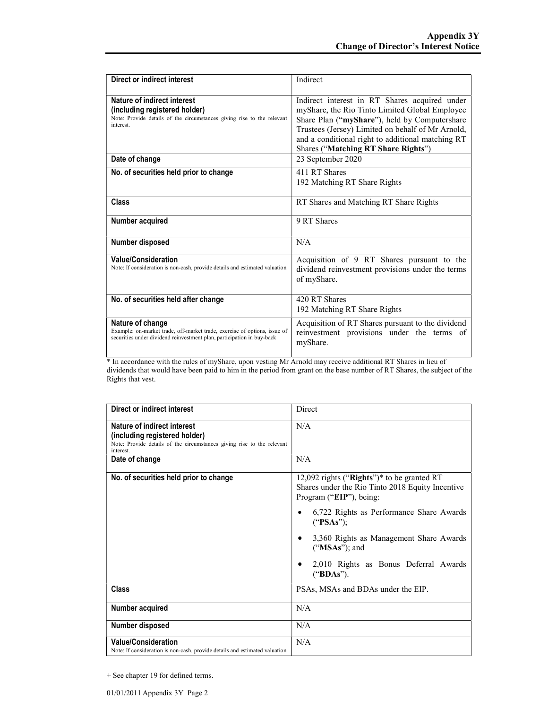| Direct or indirect interest                                                                                                                                             | Indirect                                                                                                                                                                                                                                                                                          |
|-------------------------------------------------------------------------------------------------------------------------------------------------------------------------|---------------------------------------------------------------------------------------------------------------------------------------------------------------------------------------------------------------------------------------------------------------------------------------------------|
| Nature of indirect interest<br>(including registered holder)<br>Note: Provide details of the circumstances giving rise to the relevant<br>interest.                     | Indirect interest in RT Shares acquired under<br>myShare, the Rio Tinto Limited Global Employee<br>Share Plan ("myShare"), held by Computershare<br>Trustees (Jersey) Limited on behalf of Mr Arnold,<br>and a conditional right to additional matching RT<br>Shares ("Matching RT Share Rights") |
| Date of change                                                                                                                                                          | 23 September 2020                                                                                                                                                                                                                                                                                 |
| No. of securities held prior to change                                                                                                                                  | 411 RT Shares<br>192 Matching RT Share Rights                                                                                                                                                                                                                                                     |
| <b>Class</b>                                                                                                                                                            | RT Shares and Matching RT Share Rights                                                                                                                                                                                                                                                            |
| Number acquired                                                                                                                                                         | 9 RT Shares                                                                                                                                                                                                                                                                                       |
| Number disposed                                                                                                                                                         | N/A                                                                                                                                                                                                                                                                                               |
| <b>Value/Consideration</b><br>Note: If consideration is non-cash, provide details and estimated valuation                                                               | Acquisition of 9 RT Shares pursuant to the<br>dividend reinvestment provisions under the terms<br>of myShare.                                                                                                                                                                                     |
| No. of securities held after change                                                                                                                                     | 420 RT Shares<br>192 Matching RT Share Rights                                                                                                                                                                                                                                                     |
| Nature of change<br>Example: on-market trade, off-market trade, exercise of options, issue of<br>securities under dividend reinvestment plan, participation in buy-back | Acquisition of RT Shares pursuant to the dividend<br>reinvestment provisions under the terms of<br>myShare.                                                                                                                                                                                       |

\* In accordance with the rules of myShare, upon vesting Mr Arnold may receive additional RT Shares in lieu of dividends that would have been paid to him in the period from grant on the base number of RT Shares, the subject of the Rights that vest.

| Direct or indirect interest                                                                                                                         | Direct                                                                                                                                                                                                                                                                                                                     |
|-----------------------------------------------------------------------------------------------------------------------------------------------------|----------------------------------------------------------------------------------------------------------------------------------------------------------------------------------------------------------------------------------------------------------------------------------------------------------------------------|
| Nature of indirect interest<br>(including registered holder)<br>Note: Provide details of the circumstances giving rise to the relevant<br>interest. | N/A                                                                                                                                                                                                                                                                                                                        |
| Date of change                                                                                                                                      | N/A                                                                                                                                                                                                                                                                                                                        |
| No. of securities held prior to change                                                                                                              | 12,092 rights ("Rights")* to be granted RT<br>Shares under the Rio Tinto 2018 Equity Incentive<br>Program ("EIP"), being:<br>6,722 Rights as Performance Share Awards<br>("PSAs");<br>3,360 Rights as Management Share Awards<br>٠<br>$("MSAs")$ ; and<br>2,010 Rights as Bonus Deferral Awards<br>٠<br>(" <b>BDAs</b> "). |
| <b>Class</b>                                                                                                                                        | PSAs, MSAs and BDAs under the EIP.                                                                                                                                                                                                                                                                                         |
| <b>Number acquired</b>                                                                                                                              | N/A                                                                                                                                                                                                                                                                                                                        |
| Number disposed                                                                                                                                     | N/A                                                                                                                                                                                                                                                                                                                        |
| <b>Value/Consideration</b><br>Note: If consideration is non-cash, provide details and estimated valuation                                           | N/A                                                                                                                                                                                                                                                                                                                        |

+ See chapter 19 for defined terms.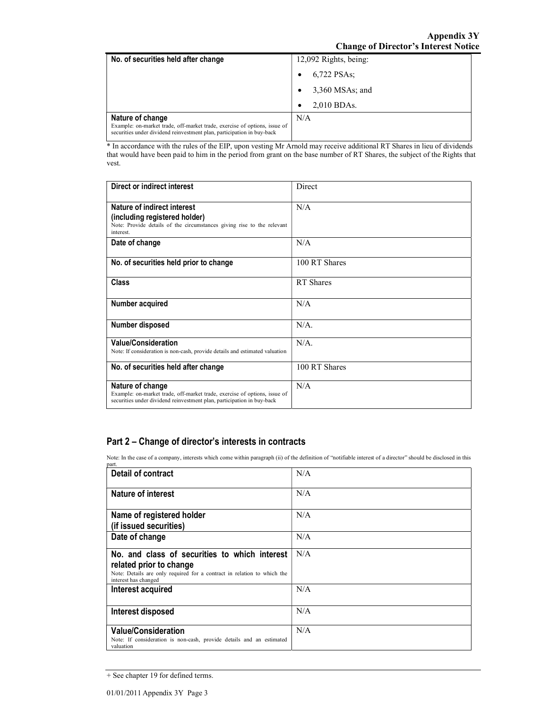| No. of securities held after change                                                                                                                                     | 12,092 Rights, being: |
|-------------------------------------------------------------------------------------------------------------------------------------------------------------------------|-----------------------|
|                                                                                                                                                                         | 6,722 PSAs;           |
|                                                                                                                                                                         | 3,360 MSAs; and       |
|                                                                                                                                                                         | 2,010 BDAs.           |
| Nature of change<br>Example: on-market trade, off-market trade, exercise of options, issue of<br>securities under dividend reinvestment plan, participation in buy-back | N/A                   |

\* In accordance with the rules of the EIP, upon vesting Mr Arnold may receive additional RT Shares in lieu of dividends that would have been paid to him in the period from grant on the base number of RT Shares, the subject of the Rights that vest.

| Direct or indirect interest                                                                                                                                             | Direct        |
|-------------------------------------------------------------------------------------------------------------------------------------------------------------------------|---------------|
| Nature of indirect interest<br>(including registered holder)<br>Note: Provide details of the circumstances giving rise to the relevant<br>interest.                     | N/A           |
| Date of change                                                                                                                                                          | N/A           |
| No. of securities held prior to change                                                                                                                                  | 100 RT Shares |
| <b>Class</b>                                                                                                                                                            | RT Shares     |
| Number acquired                                                                                                                                                         | N/A           |
| Number disposed                                                                                                                                                         | $N/A$ .       |
| <b>Value/Consideration</b><br>Note: If consideration is non-cash, provide details and estimated valuation                                                               | $N/A$ .       |
| No. of securities held after change                                                                                                                                     | 100 RT Shares |
| Nature of change<br>Example: on-market trade, off-market trade, exercise of options, issue of<br>securities under dividend reinvestment plan, participation in buy-back | N/A           |

### Part 2 – Change of director's interests in contracts

Note: In the case of a company, interests which come within paragraph (ii) of the definition of "notifiable interest of a director" should be disclosed in this

| part.                                                                                                                                                                       |     |
|-----------------------------------------------------------------------------------------------------------------------------------------------------------------------------|-----|
| <b>Detail of contract</b>                                                                                                                                                   | N/A |
| Nature of interest                                                                                                                                                          | N/A |
| Name of registered holder<br>(if issued securities)                                                                                                                         | N/A |
| Date of change                                                                                                                                                              | N/A |
| No. and class of securities to which interest<br>related prior to change<br>Note: Details are only required for a contract in relation to which the<br>interest has changed | N/A |
| Interest acquired                                                                                                                                                           | N/A |
| Interest disposed                                                                                                                                                           | N/A |
| <b>Value/Consideration</b><br>Note: If consideration is non-cash, provide details and an estimated<br>valuation                                                             | N/A |

<sup>+</sup> See chapter 19 for defined terms.